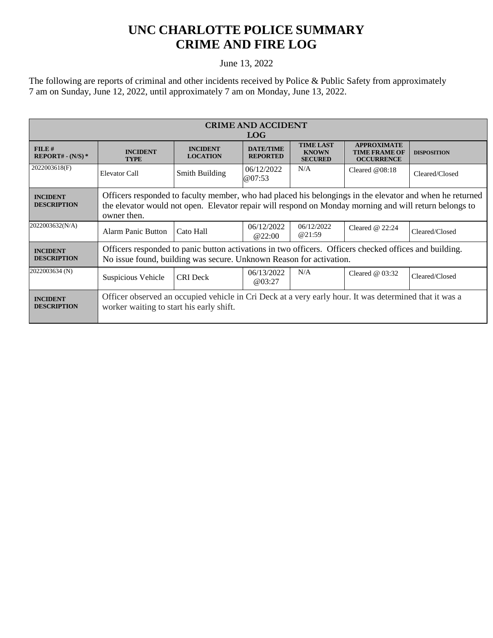## **UNC CHARLOTTE POLICE SUMMARY CRIME AND FIRE LOG**

## June 13, 2022

The following are reports of criminal and other incidents received by Police & Public Safety from approximately 7 am on Sunday, June 12, 2022, until approximately 7 am on Monday, June 13, 2022.

| <b>CRIME AND ACCIDENT</b><br><b>LOG</b> |                                                                                                                                                                                                                                   |                                    |                                     |                                                    |                                                                 |                    |
|-----------------------------------------|-----------------------------------------------------------------------------------------------------------------------------------------------------------------------------------------------------------------------------------|------------------------------------|-------------------------------------|----------------------------------------------------|-----------------------------------------------------------------|--------------------|
| FILE#<br>$REPORT# - (N/S)*$             | <b>INCIDENT</b><br><b>TYPE</b>                                                                                                                                                                                                    | <b>INCIDENT</b><br><b>LOCATION</b> | <b>DATE/TIME</b><br><b>REPORTED</b> | <b>TIME LAST</b><br><b>KNOWN</b><br><b>SECURED</b> | <b>APPROXIMATE</b><br><b>TIME FRAME OF</b><br><b>OCCURRENCE</b> | <b>DISPOSITION</b> |
| 2022003618(F)                           | Elevator Call                                                                                                                                                                                                                     | Smith Building                     | 06/12/2022<br>@07:53                | N/A                                                | Cleared $@08:18$                                                | Cleared/Closed     |
| <b>INCIDENT</b><br><b>DESCRIPTION</b>   | Officers responded to faculty member, who had placed his belongings in the elevator and when he returned<br>the elevator would not open. Elevator repair will respond on Monday morning and will return belongs to<br>owner then. |                                    |                                     |                                                    |                                                                 |                    |
| 2022003632(N/A)                         | <b>Alarm Panic Button</b>                                                                                                                                                                                                         | Cato Hall                          | 06/12/2022<br>@22:00                | 06/12/2022<br>@21:59                               | Cleared $@22:24$                                                | Cleared/Closed     |
| <b>INCIDENT</b><br><b>DESCRIPTION</b>   | Officers responded to panic button activations in two officers. Officers checked offices and building.<br>No issue found, building was secure. Unknown Reason for activation.                                                     |                                    |                                     |                                                    |                                                                 |                    |
| 2022003634 (N)                          | Suspicious Vehicle                                                                                                                                                                                                                | <b>CRI</b> Deck                    | 06/13/2022<br>@03:27                | N/A                                                | Cleared $@03:32$                                                | Cleared/Closed     |
| <b>INCIDENT</b><br><b>DESCRIPTION</b>   | Officer observed an occupied vehicle in Cri Deck at a very early hour. It was determined that it was a<br>worker waiting to start his early shift.                                                                                |                                    |                                     |                                                    |                                                                 |                    |